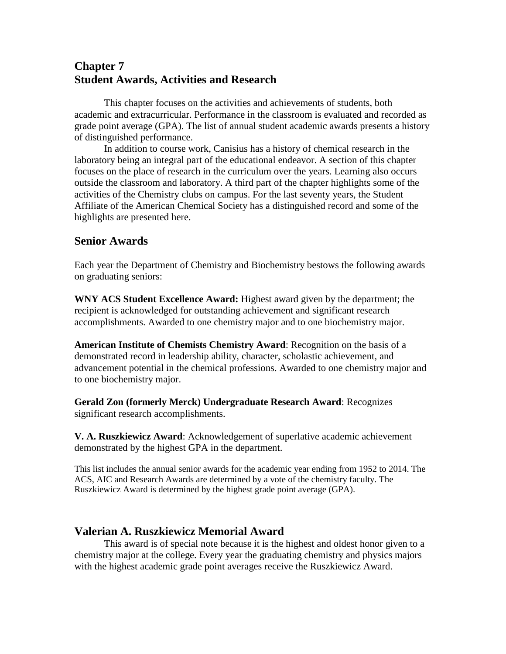# **Chapter 7 Student Awards, Activities and Research**

This chapter focuses on the activities and achievements of students, both academic and extracurricular. Performance in the classroom is evaluated and recorded as grade point average (GPA). The list of annual student academic awards presents a history of distinguished performance.

In addition to course work, Canisius has a history of chemical research in the laboratory being an integral part of the educational endeavor. A section of this chapter focuses on the place of research in the curriculum over the years. Learning also occurs outside the classroom and laboratory. A third part of the chapter highlights some of the activities of the Chemistry clubs on campus. For the last seventy years, the Student Affiliate of the American Chemical Society has a distinguished record and some of the highlights are presented here.

## **Senior Awards**

Each year the Department of Chemistry and Biochemistry bestows the following awards on graduating seniors:

**WNY ACS Student Excellence Award:** Highest award given by the department; the recipient is acknowledged for outstanding achievement and significant research accomplishments. Awarded to one chemistry major and to one biochemistry major.

**American Institute of Chemists Chemistry Award**: Recognition on the basis of a demonstrated record in leadership ability, character, scholastic achievement, and advancement potential in the chemical professions. Awarded to one chemistry major and to one biochemistry major.

**Gerald Zon (formerly Merck) Undergraduate Research Award**: Recognizes significant research accomplishments.

**V. A. Ruszkiewicz Award**: Acknowledgement of superlative academic achievement demonstrated by the highest GPA in the department.

This list includes the annual senior awards for the academic year ending from 1952 to 2014. The ACS, AIC and Research Awards are determined by a vote of the chemistry faculty. The Ruszkiewicz Award is determined by the highest grade point average (GPA).

## **Valerian A. Ruszkiewicz Memorial Award**

This award is of special note because it is the highest and oldest honor given to a chemistry major at the college. Every year the graduating chemistry and physics majors with the highest academic grade point averages receive the Ruszkiewicz Award.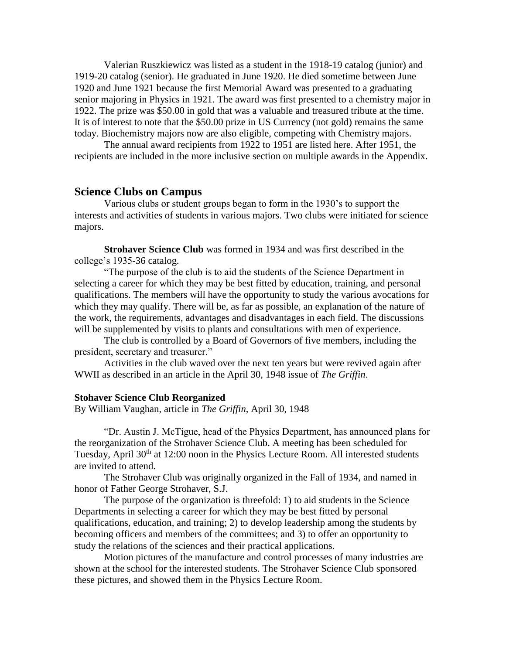Valerian Ruszkiewicz was listed as a student in the 1918-19 catalog (junior) and 1919-20 catalog (senior). He graduated in June 1920. He died sometime between June 1920 and June 1921 because the first Memorial Award was presented to a graduating senior majoring in Physics in 1921. The award was first presented to a chemistry major in 1922. The prize was \$50.00 in gold that was a valuable and treasured tribute at the time. It is of interest to note that the \$50.00 prize in US Currency (not gold) remains the same today. Biochemistry majors now are also eligible, competing with Chemistry majors.

The annual award recipients from 1922 to 1951 are listed here. After 1951, the recipients are included in the more inclusive section on multiple awards in the Appendix.

## **Science Clubs on Campus**

Various clubs or student groups began to form in the 1930's to support the interests and activities of students in various majors. Two clubs were initiated for science majors.

**Strohaver Science Club** was formed in 1934 and was first described in the college's 1935-36 catalog.

"The purpose of the club is to aid the students of the Science Department in selecting a career for which they may be best fitted by education, training, and personal qualifications. The members will have the opportunity to study the various avocations for which they may qualify. There will be, as far as possible, an explanation of the nature of the work, the requirements, advantages and disadvantages in each field. The discussions will be supplemented by visits to plants and consultations with men of experience.

The club is controlled by a Board of Governors of five members, including the president, secretary and treasurer."

Activities in the club waved over the next ten years but were revived again after WWII as described in an article in the April 30, 1948 issue of *The Griffin*.

#### **Stohaver Science Club Reorganized**

By William Vaughan, article in *The Griffin*, April 30, 1948

"Dr. Austin J. McTigue, head of the Physics Department, has announced plans for the reorganization of the Strohaver Science Club. A meeting has been scheduled for Tuesday, April 30<sup>th</sup> at 12:00 noon in the Physics Lecture Room. All interested students are invited to attend.

The Strohaver Club was originally organized in the Fall of 1934, and named in honor of Father George Strohaver, S.J.

The purpose of the organization is threefold: 1) to aid students in the Science Departments in selecting a career for which they may be best fitted by personal qualifications, education, and training; 2) to develop leadership among the students by becoming officers and members of the committees; and 3) to offer an opportunity to study the relations of the sciences and their practical applications.

Motion pictures of the manufacture and control processes of many industries are shown at the school for the interested students. The Strohaver Science Club sponsored these pictures, and showed them in the Physics Lecture Room.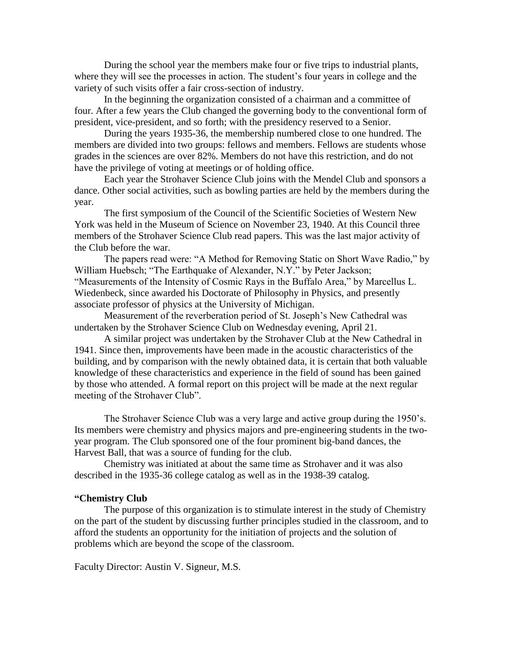During the school year the members make four or five trips to industrial plants, where they will see the processes in action. The student's four years in college and the variety of such visits offer a fair cross-section of industry.

In the beginning the organization consisted of a chairman and a committee of four. After a few years the Club changed the governing body to the conventional form of president, vice-president, and so forth; with the presidency reserved to a Senior.

During the years 1935-36, the membership numbered close to one hundred. The members are divided into two groups: fellows and members. Fellows are students whose grades in the sciences are over 82%. Members do not have this restriction, and do not have the privilege of voting at meetings or of holding office.

Each year the Strohaver Science Club joins with the Mendel Club and sponsors a dance. Other social activities, such as bowling parties are held by the members during the year.

The first symposium of the Council of the Scientific Societies of Western New York was held in the Museum of Science on November 23, 1940. At this Council three members of the Strohaver Science Club read papers. This was the last major activity of the Club before the war.

The papers read were: "A Method for Removing Static on Short Wave Radio," by William Huebsch; "The Earthquake of Alexander, N.Y." by Peter Jackson; "Measurements of the Intensity of Cosmic Rays in the Buffalo Area," by Marcellus L. Wiedenbeck, since awarded his Doctorate of Philosophy in Physics, and presently associate professor of physics at the University of Michigan.

Measurement of the reverberation period of St. Joseph's New Cathedral was undertaken by the Strohaver Science Club on Wednesday evening, April 21.

A similar project was undertaken by the Strohaver Club at the New Cathedral in 1941. Since then, improvements have been made in the acoustic characteristics of the building, and by comparison with the newly obtained data, it is certain that both valuable knowledge of these characteristics and experience in the field of sound has been gained by those who attended. A formal report on this project will be made at the next regular meeting of the Strohaver Club".

The Strohaver Science Club was a very large and active group during the 1950's. Its members were chemistry and physics majors and pre-engineering students in the twoyear program. The Club sponsored one of the four prominent big-band dances, the Harvest Ball, that was a source of funding for the club.

Chemistry was initiated at about the same time as Strohaver and it was also described in the 1935-36 college catalog as well as in the 1938-39 catalog.

#### **"Chemistry Club**

The purpose of this organization is to stimulate interest in the study of Chemistry on the part of the student by discussing further principles studied in the classroom, and to afford the students an opportunity for the initiation of projects and the solution of problems which are beyond the scope of the classroom.

Faculty Director: Austin V. Signeur, M.S.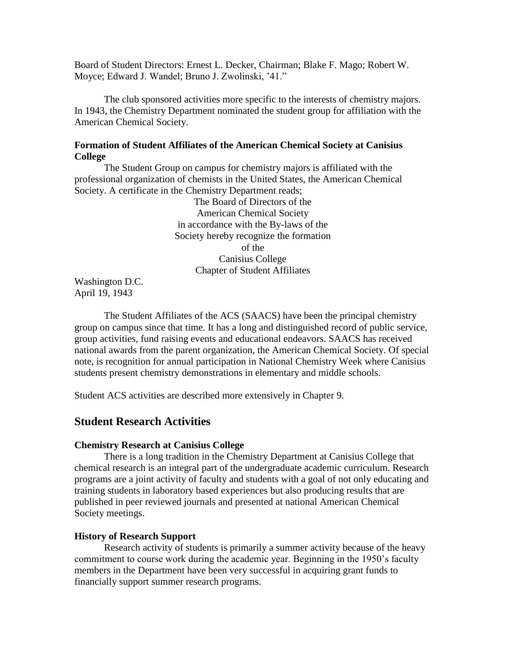Board of Student Directors: Ernest L. Decker, Chairman; Blake F. Mago; Robert W. Moyce; Edward J. Wandel; Bruno J. Zwolinski, '41."

The club sponsored activities more specific to the interests of chemistry majors. In 1943, the Chemistry Department nominated the student group for affiliation with the American Chemical Society.

## **Formation of Student Affiliates of the American Chemical Society at Canisius College**

The Student Group on campus for chemistry majors is affiliated with the professional organization of chemists in the United States, the American Chemical Society. A certificate in the Chemistry Department reads;

The Board of Directors of the American Chemical Society in accordance with the By-laws of the Society hereby recognize the formation of the Canisius College Chapter of Student Affiliates

Washington D.C. April 19, 1943

The Student Affiliates of the ACS (SAACS) have been the principal chemistry group on campus since that time. It has a long and distinguished record of public service, group activities, fund raising events and educational endeavors. SAACS has received national awards from the parent organization, the American Chemical Society. Of special note, is recognition for annual participation in National Chemistry Week where Canisius students present chemistry demonstrations in elementary and middle schools.

Student ACS activities are described more extensively in Chapter 9.

## **Student Research Activities**

#### **Chemistry Research at Canisius College**

There is a long tradition in the Chemistry Department at Canisius College that chemical research is an integral part of the undergraduate academic curriculum. Research programs are a joint activity of faculty and students with a goal of not only educating and training students in laboratory based experiences but also producing results that are published in peer reviewed journals and presented at national American Chemical Society meetings.

#### **History of Research Support**

Research activity of students is primarily a summer activity because of the heavy commitment to course work during the academic year. Beginning in the 1950's faculty members in the Department have been very successful in acquiring grant funds to financially support summer research programs.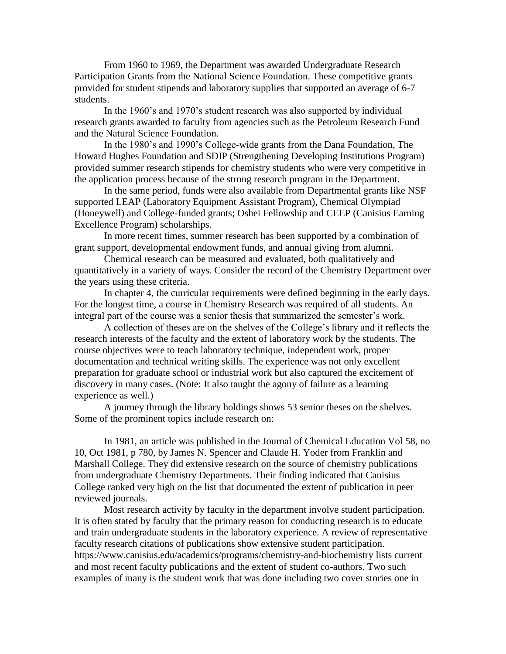From 1960 to 1969, the Department was awarded Undergraduate Research Participation Grants from the National Science Foundation. These competitive grants provided for student stipends and laboratory supplies that supported an average of 6-7 students.

In the 1960's and 1970's student research was also supported by individual research grants awarded to faculty from agencies such as the Petroleum Research Fund and the Natural Science Foundation.

In the 1980's and 1990's College-wide grants from the Dana Foundation, The Howard Hughes Foundation and SDIP (Strengthening Developing Institutions Program) provided summer research stipends for chemistry students who were very competitive in the application process because of the strong research program in the Department.

In the same period, funds were also available from Departmental grants like NSF supported LEAP (Laboratory Equipment Assistant Program), Chemical Olympiad (Honeywell) and College-funded grants; Oshei Fellowship and CEEP (Canisius Earning Excellence Program) scholarships.

In more recent times, summer research has been supported by a combination of grant support, developmental endowment funds, and annual giving from alumni.

Chemical research can be measured and evaluated, both qualitatively and quantitatively in a variety of ways. Consider the record of the Chemistry Department over the years using these criteria.

In chapter 4, the curricular requirements were defined beginning in the early days. For the longest time, a course in Chemistry Research was required of all students. An integral part of the course was a senior thesis that summarized the semester's work.

A collection of theses are on the shelves of the College's library and it reflects the research interests of the faculty and the extent of laboratory work by the students. The course objectives were to teach laboratory technique, independent work, proper documentation and technical writing skills. The experience was not only excellent preparation for graduate school or industrial work but also captured the excitement of discovery in many cases. (Note: It also taught the agony of failure as a learning experience as well.)

A journey through the library holdings shows 53 senior theses on the shelves. Some of the prominent topics include research on:

In 1981, an article was published in the Journal of Chemical Education Vol 58, no 10, Oct 1981, p 780, by James N. Spencer and Claude H. Yoder from Franklin and Marshall College. They did extensive research on the source of chemistry publications from undergraduate Chemistry Departments. Their finding indicated that Canisius College ranked very high on the list that documented the extent of publication in peer reviewed journals.

Most research activity by faculty in the department involve student participation. It is often stated by faculty that the primary reason for conducting research is to educate and train undergraduate students in the laboratory experience. A review of representative faculty research citations of publications show extensive student participation. https://www.canisius.edu/academics/programs/chemistry-and-biochemistry lists current and most recent faculty publications and the extent of student co-authors. Two such examples of many is the student work that was done including two cover stories one in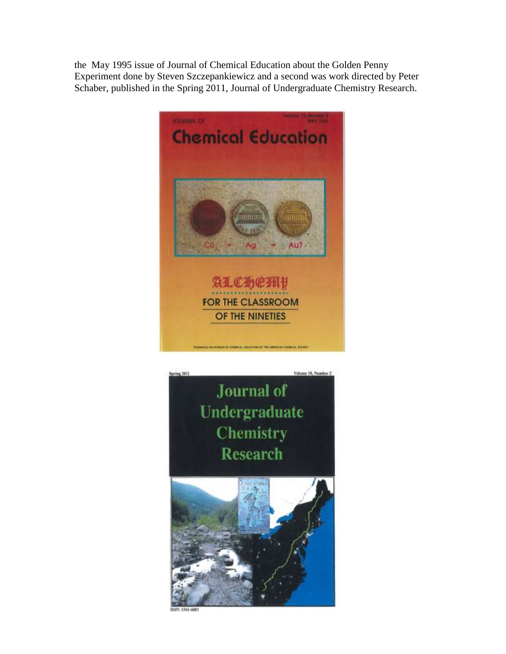the May 1995 issue of Journal of Chemical Education about the Golden Penny Experiment done by Steven Szczepankiewicz and a second was work directed by Peter Schaber, published in the Spring 2011, Journal of Undergraduate Chemistry Research.